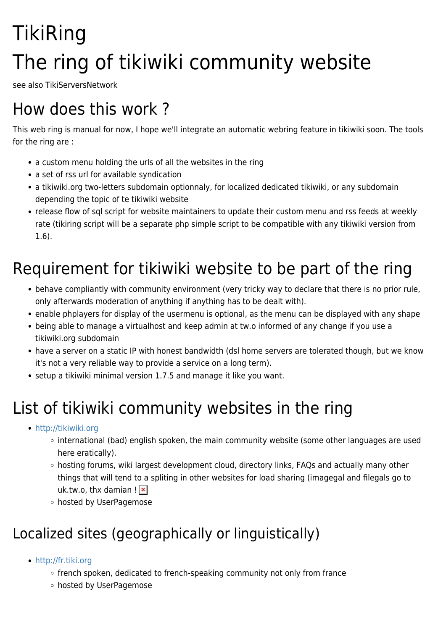# **TikiRing** The ring of tikiwiki community website

see also TikiServersNetwork

### How does this work ?

This web ring is manual for now, I hope we'll integrate an automatic webring feature in tikiwiki soon. The tools for the ring are :

- a custom menu holding the urls of all the websites in the ring
- a set of rss url for available syndication
- a tikiwiki.org two-letters subdomain optionnaly, for localized dedicated tikiwiki, or any subdomain depending the topic of te tikiwiki website
- release flow of sql script for website maintainers to update their custom menu and rss feeds at weekly rate (tikiring script will be a separate php simple script to be compatible with any tikiwiki version from 1.6).

## Requirement for tikiwiki website to be part of the ring

- behave compliantly with community environment (very tricky way to declare that there is no prior rule, only afterwards moderation of anything if anything has to be dealt with).
- enable phplayers for display of the usermenu is optional, as the menu can be displayed with any shape
- being able to manage a virtualhost and keep admin at tw.o informed of any change if you use a tikiwiki.org subdomain
- have a server on a static IP with honest bandwidth (dsl home servers are tolerated though, but we know it's not a very reliable way to provide a service on a long term).
- setup a tikiwiki minimal version 1.7.5 and manage it like you want.

# List of tikiwiki community websites in the ring

- <http://tikiwiki.org>
	- international (bad) english spoken, the main community website (some other languages are used here eratically).
	- hosting forums, wiki largest development cloud, directory links, FAQs and actually many other things that will tend to a spliting in other websites for load sharing (imagegal and filegals go to uk.tw.o, thx damian  $\mathbf{R}$
	- hosted by UserPagemose

### Localized sites (geographically or linguistically)

- <http://fr.tiki.org>
	- french spoken, dedicated to french-speaking community not only from france
	- hosted by UserPagemose